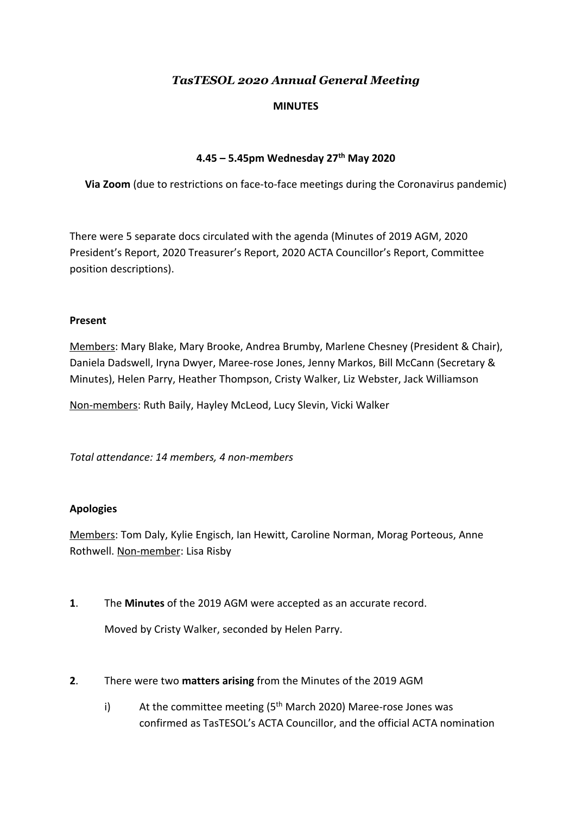# *TasTESOL 2020 Annual General Meeting*

### **MINUTES**

## **4.45 – 5.45pm Wednesday 27 th May 2020**

**Via Zoom** (due to restrictions on face-to-face meetings during the Coronavirus pandemic)

There were 5 separate docs circulated with the agenda (Minutes of 2019 AGM, 2020 President's Report, 2020 Treasurer's Report, 2020 ACTA Councillor's Report, Committee position descriptions).

#### **Present**

Members: Mary Blake, Mary Brooke, Andrea Brumby, Marlene Chesney (President & Chair), Daniela Dadswell, Iryna Dwyer, Maree-rose Jones, Jenny Markos, Bill McCann (Secretary & Minutes), Helen Parry, Heather Thompson, Cristy Walker, Liz Webster, Jack Williamson

Non-members: Ruth Baily, Hayley McLeod, Lucy Slevin, Vicki Walker

*Total attendance: 14 members, 4 non-members*

#### **Apologies**

Members: Tom Daly, Kylie Engisch, Ian Hewitt, Caroline Norman, Morag Porteous, Anne Rothwell. Non-member: Lisa Risby

**1**. The **Minutes** of the 2019 AGM were accepted as an accurate record.

Moved by Cristy Walker, seconded by Helen Parry.

- **2**. There were two **matters arising** from the Minutes of the 2019 AGM
	- i) At the committee meeting  $(5<sup>th</sup> March 2020)$  Maree-rose Jones was confirmed as TasTESOL's ACTA Councillor, and the official ACTA nomination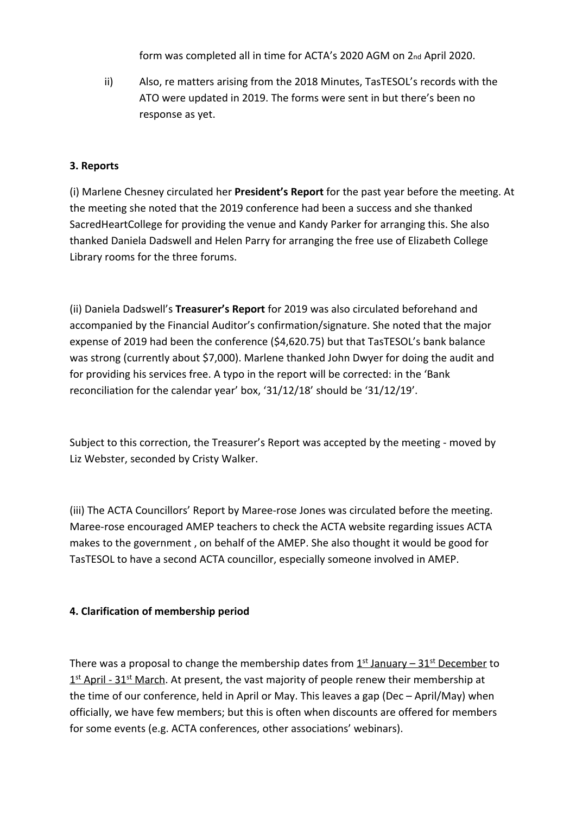form was completed all in time for ACTA's 2020 AGM on 2nd April 2020.

ii) Also, re matters arising from the 2018 Minutes, TasTESOL's records with the ATO were updated in 2019. The forms were sent in but there's been no response as yet.

### **3. Reports**

(i) Marlene Chesney circulated her **President's Report** for the past year before the meeting. At the meeting she noted that the 2019 conference had been a success and she thanked SacredHeartCollege for providing the venue and Kandy Parker for arranging this. She also thanked Daniela Dadswell and Helen Parry for arranging the free use of Elizabeth College Library rooms for the three forums.

(ii) Daniela Dadswell's **Treasurer's Report** for 2019 was also circulated beforehand and accompanied by the Financial Auditor's confirmation/signature. She noted that the major expense of 2019 had been the conference (\$4,620.75) but that TasTESOL's bank balance was strong (currently about \$7,000). Marlene thanked John Dwyer for doing the audit and for providing his services free. A typo in the report will be corrected: in the 'Bank reconciliation for the calendar year' box, '31/12/18' should be '31/12/19'.

Subject to this correction, the Treasurer's Report was accepted by the meeting - moved by Liz Webster, seconded by Cristy Walker.

(iii) The ACTA Councillors' Report by Maree-rose Jones was circulated before the meeting. Maree-rose encouraged AMEP teachers to check the ACTA website regarding issues ACTA makes to the government , on behalf of the AMEP. She also thought it would be good for TasTESOL to have a second ACTA councillor, especially someone involved in AMEP.

#### **4. Clarification of membership period**

There was a proposal to change the membership dates from 1<sup>st</sup> January – 31<sup>st</sup> December to 1<sup>st</sup> April - 31<sup>st</sup> March. At present, the vast majority of people renew their membership at the time of our conference, held in April or May. This leaves a gap (Dec – April/May) when officially, we have few members; but this is often when discounts are offered for members for some events (e.g. ACTA conferences, other associations' webinars).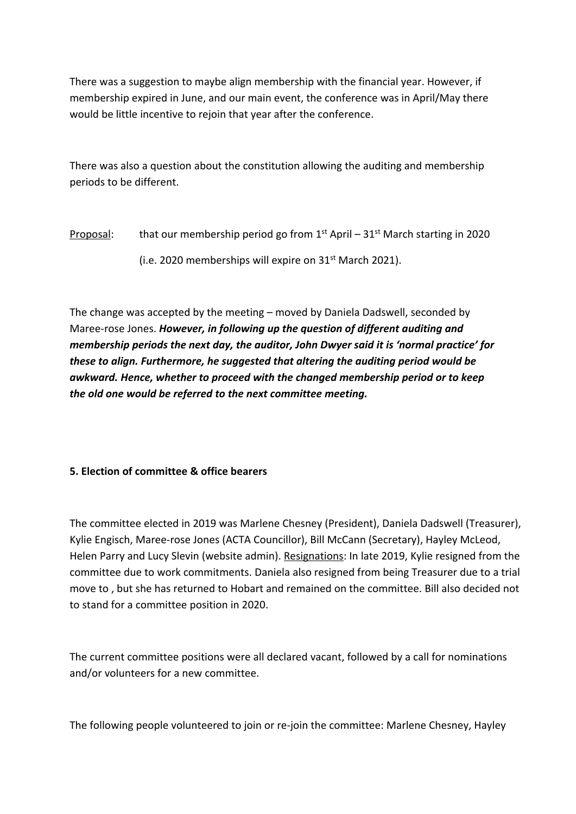There was a suggestion to maybe align membership with the financial year. However, if membership expired in June, and our main event, the conference was in April/May there would be little incentive to rejoin that year after the conference.

There was also a question about the constitution allowing the auditing and membership periods to be different.

Proposal: that our membership period go from 1<sup>st</sup> April – 31<sup>st</sup> March starting in 2020

(i.e. 2020 memberships will expire on 31st March 2021).

The change was accepted by the meeting – moved by Daniela Dadswell, seconded by Maree-rose Jones. *However, in following up the question of different auditing and membership periods the next day, the auditor, John Dwyer said it is 'normal practice' for these to align. Furthermore, he suggested that altering the auditing period would be awkward. Hence, whether to proceed with the changed membership period or to keep the old one would be referred to the next committee meeting.*

# **5. Election of committee & office bearers**

The committee elected in 2019 was Marlene Chesney (President), Daniela Dadswell (Treasurer), Kylie Engisch, Maree-rose Jones (ACTA Councillor), Bill McCann (Secretary), Hayley McLeod, Helen Parry and Lucy Slevin (website admin). Resignations: In late 2019, Kylie resigned from the committee due to work commitments. Daniela also resigned from being Treasurer due to a trial move to , but she has returned to Hobart and remained on the committee. Bill also decided not to stand for a committee position in 2020.

The current committee positions were all declared vacant, followed by a call for nominations and/or volunteers for a new committee.

The following people volunteered to join or re-join the committee: Marlene Chesney, Hayley